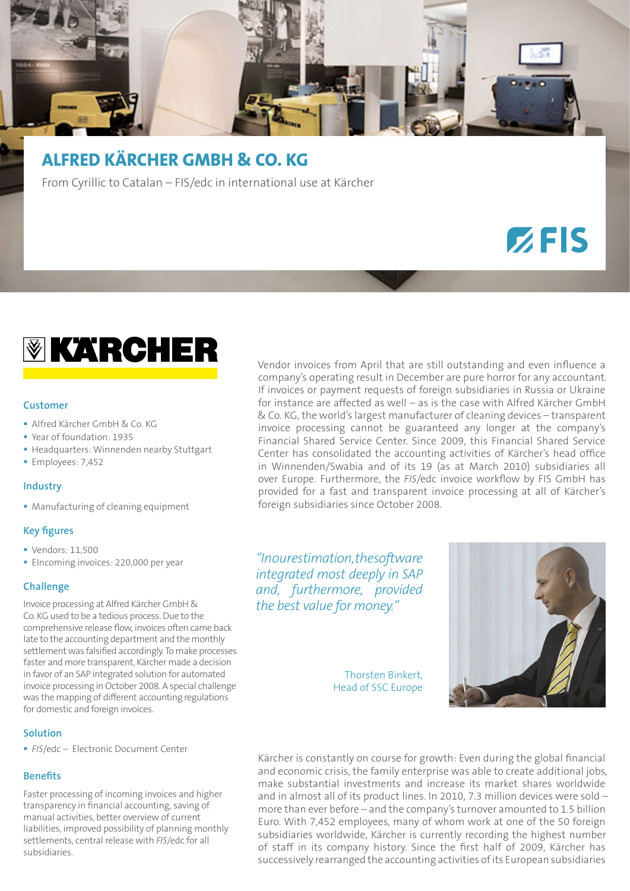

# **ALFRED KÄRCHER GMBH & CO. KG**

From Cyrillic to Catalan – FIS/edc in international use at Kärcher

# $Z$ FIS



# **Customer**

- Alfred Kärcher GmbH & Co. KG
- Year of foundation: 1935
- Headquarters: Winnenden nearby Stuttgart
- **Employees: 7,452**

#### **Industry**

**Manufacturing of cleaning equipment** 

# **Key figures**

- Vendors: 11,500
- **EIncoming invoices: 220,000 per year**

# **Challenge**

Invoice processing at Alfred Kärcher GmbH & Co. KG used to be a tedious process. Due to the comprehensive release flow, invoices often came back late to the accounting department and the monthly settlement was falsified accordingly. To make processes faster and more transparent, Kärcher made a decision in favor of an SAP integrated solution for automated invoice processing in October 2008. A special challenge was the mapping of different accounting regulations for domestic and foreign invoices.

# **Solution**

*FIS*/edc – Electronic Document Center

# **Benefits**

Faster processing of incoming invoices and higher transparency in financial accounting, saving of manual activities, better overview of current liabilities, improved possibility of planning monthly settlements, central release with *FIS*/edc for all subsidiaries.

Vendor invoices from April that are still outstanding and even influence a company's operating result in December are pure horror for any accountant. If invoices or payment requests of foreign subsidiaries in Russia or Ukraine for instance are affected as well – as is the case with Alfred Kärcher GmbH & Co. KG, the world's largest manufacturer of cleaning devices – transparent invoice processing cannot be guaranteed any longer at the company's Financial Shared Service Center. Since 2009, this Financial Shared Service Center has consolidated the accounting activities of Kärcher's head office in Winnenden/Swabia and of its 19 (as at March 2010) subsidiaries all over Europe. Furthermore, the *FIS*/edc invoice workflow by FIS GmbH has provided for a fast and transparent invoice processing at all of Kärcher's foreign subsidiaries since October 2008.

*"In our estimation, the software integrated most deeply in SAP and, furthermore, provided the best value for money."*

> Thorsten Binkert, Head of SSC Europe



Kärcher is constantly on course for growth: Even during the global financial and economic crisis, the family enterprise was able to create additional jobs, make substantial investments and increase its market shares worldwide and in almost all of its product lines. In 2010, 7.3 million devices were sold – more than ever before – and the company's turnover amounted to 1.5 billion Euro. With 7,452 employees, many of whom work at one of the 50 foreign subsidiaries worldwide, Kärcher is currently recording the highest number of staff in its company history. Since the first half of 2009, Kärcher has successively rearranged the accounting activities of its European subsidiaries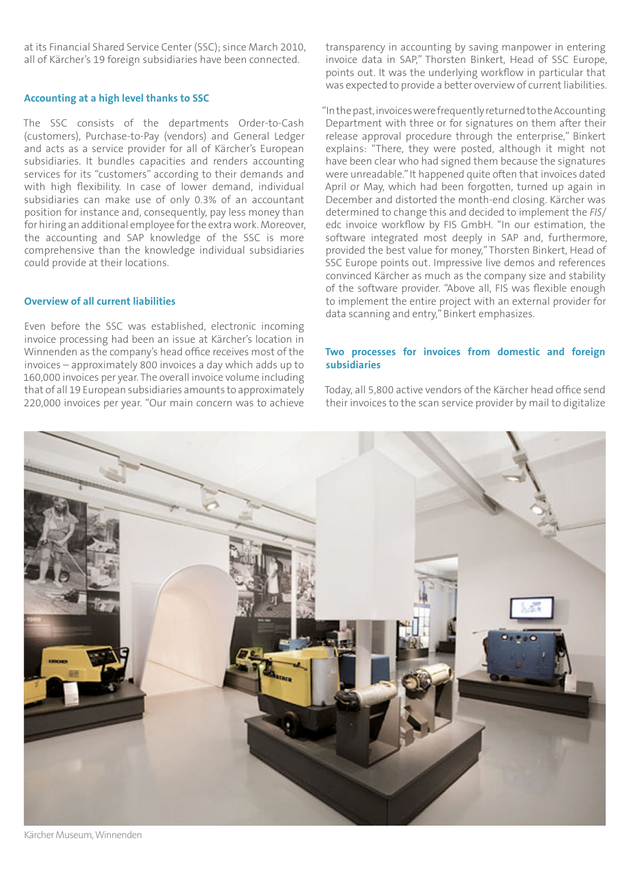at its Financial Shared Service Center (SSC); since March 2010, all of Kärcher's 19 foreign subsidiaries have been connected.

#### **Accounting at a high level thanks to SSC**

The SSC consists of the departments Order-to-Cash (customers), Purchase-to-Pay (vendors) and General Ledger and acts as a service provider for all of Kärcher's European subsidiaries. It bundles capacities and renders accounting services for its "customers" according to their demands and with high flexibility. In case of lower demand, individual subsidiaries can make use of only 0.3% of an accountant position for instance and, consequently, pay less money than for hiring an additional employee for the extra work. Moreover, the accounting and SAP knowledge of the SSC is more comprehensive than the knowledge individual subsidiaries could provide at their locations.

# **Overview of all current liabilities**

Even before the SSC was established, electronic incoming invoice processing had been an issue at Kärcher's location in Winnenden as the company's head office receives most of the invoices – approximately 800 invoices a day which adds up to 160,000 invoices per year. The overall invoice volume including that of all 19 European subsidiaries amounts to approximately 220,000 invoices per year. "Our main concern was to achieve

transparency in accounting by saving manpower in entering invoice data in SAP," Thorsten Binkert, Head of SSC Europe, points out. It was the underlying workflow in particular that was expected to provide a better overview of current liabilities.

"In the past, invoices were frequently returned to the Accounting Department with three or for signatures on them after their release approval procedure through the enterprise," Binkert explains: "There, they were posted, although it might not have been clear who had signed them because the signatures were unreadable." It happened quite often that invoices dated April or May, which had been forgotten, turned up again in December and distorted the month-end closing. Kärcher was determined to change this and decided to implement the *FIS*/ edc invoice workflow by FIS GmbH. "In our estimation, the software integrated most deeply in SAP and, furthermore, provided the best value for money," Thorsten Binkert, Head of SSC Europe points out. Impressive live demos and references convinced Kärcher as much as the company size and stability of the software provider. "Above all, FIS was flexible enough to implement the entire project with an external provider for data scanning and entry," Binkert emphasizes.

#### **Two processes for invoices from domestic and foreign subsidiaries**

Today, all 5,800 active vendors of the Kärcher head office send their invoices to the scan service provider by mail to digitalize



Kärcher Museum, Winnenden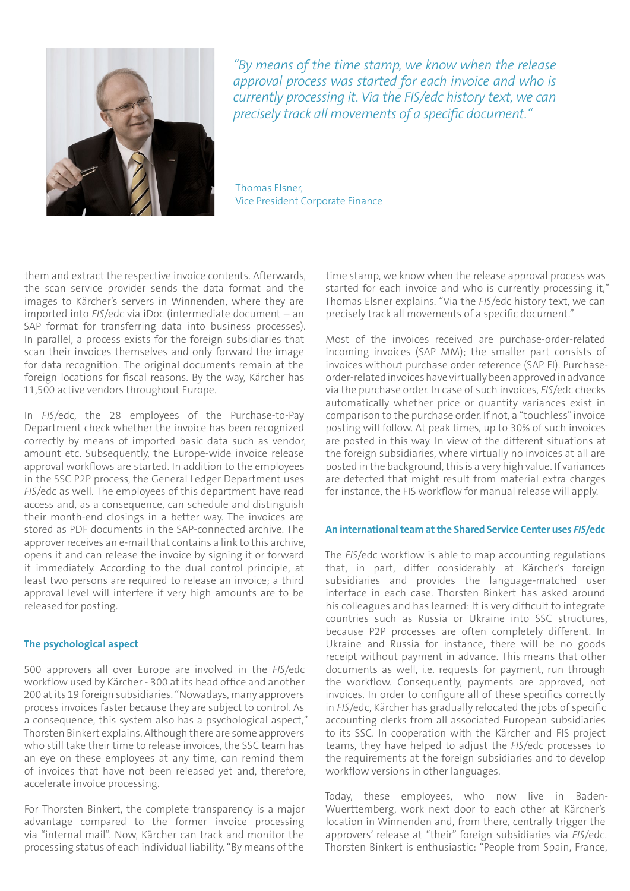

*"By means of the time stamp, we know when the release approval process was started for each invoice and who is currently processing it. Via the FIS/edc history text, we can precisely track all movements of a specific document."*

Thomas Elsner, Vice President Corporate Finance

them and extract the respective invoice contents. Afterwards, the scan service provider sends the data format and the images to Kärcher's servers in Winnenden, where they are imported into *FIS*/edc via iDoc (intermediate document – an SAP format for transferring data into business processes). In parallel, a process exists for the foreign subsidiaries that scan their invoices themselves and only forward the image for data recognition. The original documents remain at the foreign locations for fiscal reasons. By the way, Kärcher has 11,500 active vendors throughout Europe.

In *FIS*/edc, the 28 employees of the Purchase-to-Pay Department check whether the invoice has been recognized correctly by means of imported basic data such as vendor, amount etc. Subsequently, the Europe-wide invoice release approval workflows are started. In addition to the employees in the SSC P2P process, the General Ledger Department uses *FIS*/edc as well. The employees of this department have read access and, as a consequence, can schedule and distinguish their month-end closings in a better way. The invoices are stored as PDF documents in the SAP-connected archive. The approver receives an e-mail that contains a link to this archive, opens it and can release the invoice by signing it or forward it immediately. According to the dual control principle, at least two persons are required to release an invoice; a third approval level will interfere if very high amounts are to be released for posting.

#### **The psychological aspect**

500 approvers all over Europe are involved in the *FIS*/edc workflow used by Kärcher - 300 at its head office and another 200 at its 19 foreign subsidiaries. "Nowadays, many approvers process invoices faster because they are subject to control. As a consequence, this system also has a psychological aspect," Thorsten Binkert explains. Although there are some approvers who still take their time to release invoices, the SSC team has an eye on these employees at any time, can remind them of invoices that have not been released yet and, therefore, accelerate invoice processing.

For Thorsten Binkert, the complete transparency is a major advantage compared to the former invoice processing via "internal mail". Now, Kärcher can track and monitor the processing status of each individual liability. "By means of the

time stamp, we know when the release approval process was started for each invoice and who is currently processing it," Thomas Elsner explains. "Via the *FIS*/edc history text, we can precisely track all movements of a specific document."

Most of the invoices received are purchase-order-related incoming invoices (SAP MM); the smaller part consists of invoices without purchase order reference (SAP FI). Purchaseorder-related invoices have virtually been approved in advance via the purchase order. In case of such invoices, *FIS*/edc checks automatically whether price or quantity variances exist in comparison to the purchase order. If not, a "touchless" invoice posting will follow. At peak times, up to 30% of such invoices are posted in this way. In view of the different situations at the foreign subsidiaries, where virtually no invoices at all are posted in the background, this is a very high value. If variances are detected that might result from material extra charges for instance, the FIS workflow for manual release will apply.

### **An international team at the Shared Service Center uses** *FIS***/edc**

The *FIS*/edc workflow is able to map accounting regulations that, in part, differ considerably at Kärcher's foreign subsidiaries and provides the language-matched user interface in each case. Thorsten Binkert has asked around his colleagues and has learned: It is very difficult to integrate countries such as Russia or Ukraine into SSC structures, because P2P processes are often completely different. In Ukraine and Russia for instance, there will be no goods receipt without payment in advance. This means that other documents as well, i.e. requests for payment, run through the workflow. Consequently, payments are approved, not invoices. In order to configure all of these specifics correctly in *FIS*/edc, Kärcher has gradually relocated the jobs of specific accounting clerks from all associated European subsidiaries to its SSC. In cooperation with the Kärcher and FIS project teams, they have helped to adjust the *FIS*/edc processes to the requirements at the foreign subsidiaries and to develop workflow versions in other languages.

Today, these employees, who now live in Baden-Wuerttemberg, work next door to each other at Kärcher's location in Winnenden and, from there, centrally trigger the approvers' release at "their" foreign subsidiaries via *FIS*/edc. Thorsten Binkert is enthusiastic: "People from Spain, France,